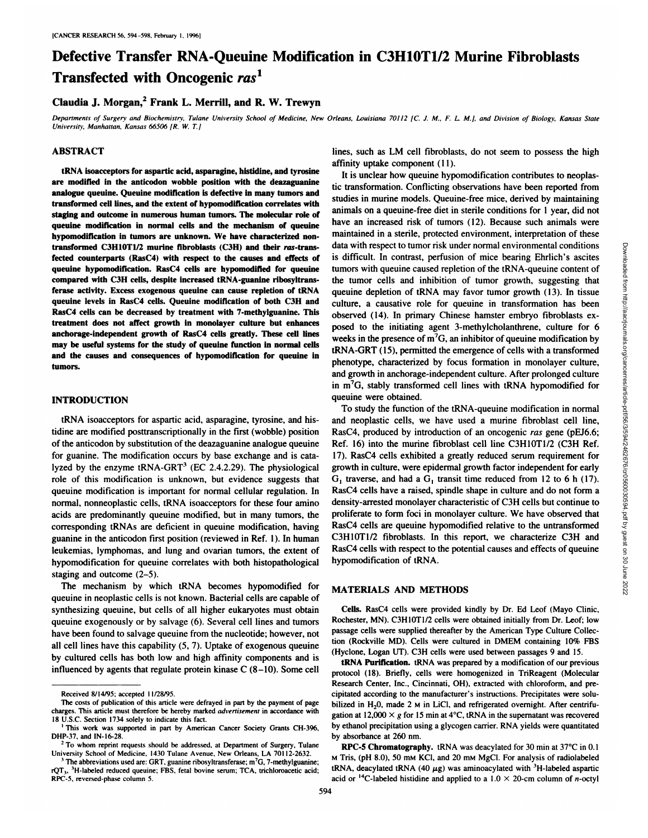# **Defective Transfer RNA-Queuine Modification in C3H1OT1/2 Murine Fibroblasts Transfected with Oncogenic ras1**

## **Claudia J. Morgan,2 Frank L. Merrill, and R. W. Trewyn**

Departments of Surgery and Biochemistry, Tulane University School of Medicine, New Orleans, Louisiana 70112 [C. J. M., F. L. M.], and Division of Biology, Kansas State *University, Manhattan, Kansas 66506 (R.W. T.J*

#### **ABSTRACT**

tRNA isoacceptors for aspartic acid, asparagine, histidine, and tyrosine are modified in the anticodon wobble position with the deazaguanine analogue queuine. Queuine modification is defective in many tumors and transformed cell lines, and the extent of hypomodification correlates with staging and outcome in numerous human tumors. The molecular role of queuine modification in normal cells and the mechanism of queuine hypomodification in tumors are unknown. We have characterized nontransformed C3H10T1/2 murine fibroblasts (C3H) and their ras-transfected counterparts (RasC4) with respect to the causes and effects of queuine hypomodification. RasC4 cells are hypomodified for queuine compared with C3H cells, despite increased tRNA-guanine ribosyltrans. ferase activity. Excess exogenous queuine can cause repletion of tRNA **queuine levels in RasC4 cells. Queuine modification of both C3H and** RasC4 cells can be decreased by treatment with 7-methylguanine. This treatment does not affect growth in monolayer culture but enhances anchorage-independent growth of RasC4 cells greatly. These cell lines **may be useful systems for the study of queulne function In normal cells and the causes and consequences of hypomodification for queuine In** tumors.

#### **INTRODUCTION**

tRNA isoacceptors for aspartic acid, asparagine, tyrosine, and his tidine are modified posttranscriptionally in the first (wobble) position of the anticodon by substitution of the deazaguanine analogue queuine for guanine. The modification occurs by base exchange and is cata lyzed by the enzyme  $tRNA-GRT<sup>3</sup>$  (EC 2.4.2.29). The physiological role of this modification is unknown, but evidence suggests that queuine modification is important for normal cellular regulation. In normal, nonneoplastic cells, tRNA isoacceptors for these four amino acids are predominantly queuine modified, but in many tumors, the corresponding tRNAs are deficient in queuine modification, having guanine in the anticodon first position (reviewed in Ref. 1). In human leukemias, lymphomas, and lung and ovarian tumors, the extent of hypomodification for queuine correlates with both histopathological staging and outcome (2—5).

The mechanism by which tRNA becomes hypomodified for queuine in neoplastic cells is not known. Bacterial cells are capable of synthesizing queuine, but cells of all higher eukaryotes must obtain queuine exogenously or by salvage (6). Several cell lines and tumors have been found to salvage queuine from the nucleotide; however, not all cell lines have this capability (5, 7). Uptake of exogenous queuine by cultured cells has both low and high affinity components and is influenced by agents that regulate protein kinase  $C(8-10)$ . Some cell

lines, such as LM cell fibroblasts, do not seem to possess the high affinity uptake component (11).

**It is unclear how queuine hypomodification contributes to neoplas** tic transformation. Conflicting observations have been reported from studies in murine models. Queuine-free mice, derived by maintaining animals on a queuine-free diet in sterile conditions for 1 year, did not have an increased risk of tumors (12). Because such animals were maintained in a sterile, protected environment, interpretation of these data with respect to tumor risk under normal environmental conditions<br>is difficult. In contrast, perfission of micro elearing Ehrlich's ascies<br>tumors with queuine caused repletion of the RNA-queuine content of<br>the tumor c is difficult. In contrast, perfusion of mice bearing Ehrlich's ascites tumors with queuine caused repletion of the tRNA-queuine content of the tumor cells and inhibition of tumor growth, suggesting that queuine depletion of tRNA may favor tumor growth (13). In tissue culture, a causative role for queuine in transformation has been observed (14). In primary Chinese hamster embryo fibroblasts ex posed to the initiating agent 3-methylcholanthrene, culture for 6 weeks in the presence of  $m<sup>7</sup>G$ , an inhibitor of queuine modification by tRNA-GRT (15), permitted the emergence of cells with a transformed phenotype, characterized by focus formation in monolayer culture, and growth in anchorage-independent culture. After prolonged culture in  $m<sup>7</sup>G$ , stably transformed cell lines with tRNA hypomodified for queuine were obtained.

To study the function of the tRNA-queuine modification in normal and neoplastic cells, we have used a murine fibroblast cell line, RasC4, produced by introduction of an oncogenic ras gene (pEJ6.6; Ref. 16) into the murine fibroblast cell line C3H1OT1/2 (C3H Ref. 11). RasC4 cells exhibited a greatly reduced serum requirement for growth in culture, were epidermal growth factor independent for early  $G_1$  traverse, and had a  $G_1$  transit time reduced from 12 to 6 h (17). RasC4 cells have a raised, spindle shape in culture and do not form a density-arrested monolayer characteristic of C3H cells but continue to proliferate to form foci in monolayer culture. We have observed that **RasC4 cells are queuine hypomodified relative to the untransformed** C3H1OT1/2 fibroblasts. In this report, we characterize C3H and RasC4 cells with respect to the potential causes and effects of queuine hypomodification of tRNA.

#### MATERIALS AND METHODS

Cells. RasC4 cells were provided kindly by Dr. Ed Leof (Mayo Clinic, Rochester, MN). C3HIOT1/2 cells were obtained initially from Dr. Leof; low passage cells were supplied thereafter by the American Type Culture Collec tion (Rockville MD). Cells were cultured in DMEM containing 10% FBS (Hyclone, Logan UT). C3H cells were used between passages 9 and 15.

tRNA Purification. tRNA was prepared by a modification of our previous protocol (18). Briefly, cells were homogenized in TriReagent (Molecular Research Center, Inc., Cincinnati, OH), extracted with chloroform, and pre cipitated according to the manufacturer's instructions. Precipitates were solu bilized in  $H_2$ 0, made 2 M in LiCl, and refrigerated overnight. After centrifugation at 12,000  $\times$  g for 15 min at 4°C, tRNA in the supernatant was recovered by ethanol precipitation using a glycogen carrier. RNA yields were quantitated by absorbance at 260 nm.

RPC-5 Chromatography. tRNA was deacylated for 30 min at 37°C in 0.1 **M Tris, (pH 8.0), 50 mM KC1, and 20 m@i MgC1. For analysis of radiolabeled** tRNA, deacylated tRNA (40  $\mu$ g) was aminoacylated with <sup>3</sup>H-labeled aspartic acid or <sup>14</sup>C-labeled histidine and applied to a 1.0  $\times$  20-cm column of *n*-octyl

Received 8/14/95: accepted I1/28/95.

The costs of publication of this article were defrayed in part by the payment of page charges. This article must therefore be hereby marked advertisement in accordance with 18 U.S.C. Section 1734 solely to indicate this fact.

**I This work was supported in part by American Cancer Society Grants CH-396,** DHP-37, and IN-16-28.

<sup>&</sup>lt;sup>2</sup> To whom reprint requests should be addressed, at Department of Surgery, Tulane University School of Medicine, 1430 Tulane Avenue, New Orleans, LA 701 12-2632.

**<sup>3</sup> The abbreviations used are: GRT, guanine ribosyltransferase; m7G, 7-methylguanine;**  $rQT_3$ , <sup>3</sup>H-labeled reduced queuine; FBS, fetal bovine serum; TCA, trichloroacetic acid; RPC-5, reversed-phase column 5.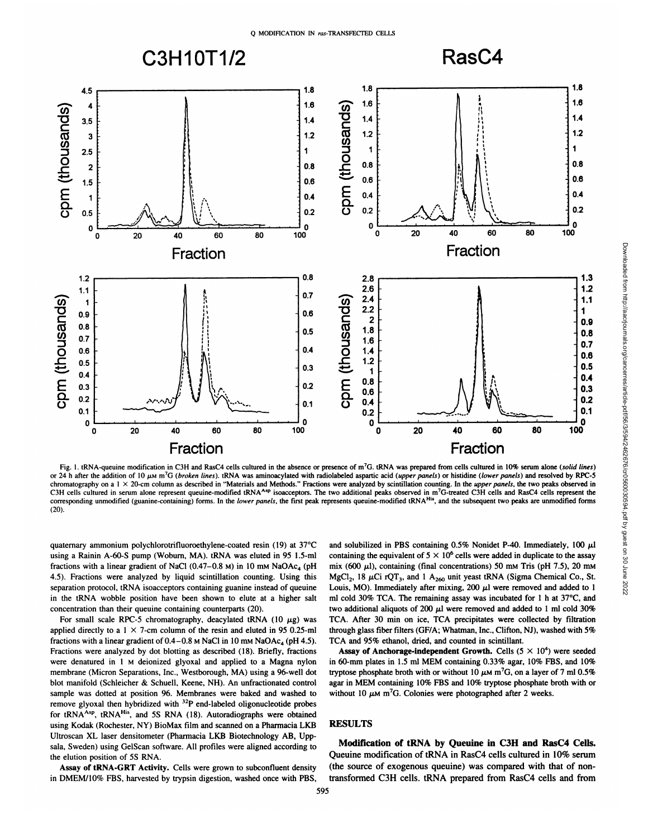

Fig. 1. tRNA-queuine modification in C3H and RasC4 cells cultured in the absence or presence of m<sup>7</sup>G. tRNA was prepared from cells cultured in 10% serum alone (solid lines) chromatography on a 1 × 20-cm column as described in "Materials and Methods." Fractions were analyzed by scintillation counting. In the upper panels, the two peaks observed in C3H cells cultured in serum alone represent queuine-modified tRNA<sup>Asp</sup> isoacceptors. The two additional peaks observed in m<sup>7</sup>G-treated C3H cells and RasC4 cells represent the corresponding unmodified (guanine-containing) forms. In the lower panels, the first peak represents queuine-modified tRNA<sup>His</sup>, and the subsequent two peaks are unmodified forms (20).

quaternary ammonium polychlorotrifluoroethylene-coated resin (19) at 37°C using a Rainin A-60-S pump (Woburn, MA). tRNA was eluted in 95 1.5-mI fractions with a linear gradient of NaCl  $(0.47-0.8 \text{ M})$  in 10 mm NaOAc<sub>4</sub> (pH 4.5). Fractions were analyzed by liquid scintillation counting. Using this separation protocol, tRNA isoacceptors containing guanine instead of queuine in the tRNA wobble position have been shown to elute at a higher salt concentration than their queuine containing counterparts (20).

For small scale RPC-5 chromatography, deacylated tRNA (10  $\mu$ g) was applied directly to a  $1 \times 7$ -cm column of the resin and eluted in 95 0.25-ml fractions with a linear gradient of  $0.4-0.8$  M NaCl in 10 mM NaOAc<sub>4</sub> (pH 4.5). Fractions were analyzed by dot blotting as described (18). Briefly, fractions were denatured in 1 M deionized glyoxal and applied to a Magna nylon membrane (Micron Separations, Inc., Westborough, MA) using a 96-well dot blot manifold (Schleicher & Schuell, Keene, NH). An unfractionated control sample was dotted at position 96. Membranes were baked and washed to remove glyoxal then hybridized with  $32P$  end-labeled oligonucleotide probes for tRNA<sup>Asp</sup>, tRNA<sup>His</sup>, and 5S RNA (18). Autoradiographs were obtained using Kodak (Rochester, NY) BioMax film and scanned on a Pharmacia LKB Ultroscan XL laser densitometer (Pharmacia LKB Biotechnology AB, Upp sala, Sweden) using GelScan software. All profiles were aligned according to the elution position of 5S RNA.

Assay of tRNA-GRT Activity. Cells were grown to subconfluent density in DMEM/lO% FBS, harvested by trypsin digestion, washed once with PBS, and solubilized in PBS containing  $0.5\%$  Nonidet P-40. Immediately, 100  $\mu$ l containing the equivalent of  $5 \times 10^6$  cells were added in duplicate to the assay mix (600  $\mu$ l), containing (final concentrations) 50 mm Tris (pH 7.5), 20 mm MgCl<sub>2</sub>, 18  $\mu$ Ci rQT<sub>3</sub>, and 1 A<sub>260</sub> unit yeast tRNA (Sigma Chemical Co., St. Louis, MO). Immediately after mixing, 200  $\mu$ l were removed and added to 1 ml cold 30% TCA. The remaining assay was incubated for 1 h at  $37^{\circ}$ C, and two additional aliquots of 200  $\mu$ l were removed and added to 1 ml cold 30% TCA. After 30 min on ice, TCA precipitates were collected by filtration through glass fiber filters (GF/A; Whatman, Inc.,Clifton, NJ), washed with 5% TCA and 95% ethanol, dried, and counted in scintillant.

Assay of Anchorage-independent Growth. Cells  $(5 \times 10^4)$  were seeded in 60-mm plates in 1.5 ml MEM containing 0.33% agar, 10% FBS, and 10% tryptose phosphate broth with or without 10  $\mu$ M m<sup>7</sup>G, on a layer of 7 ml 0.5% agar in MEM containing 10% FBS and 10% tryptose phosphate broth with or without 10  $\mu$ M m<sup>7</sup>G. Colonies were photographed after 2 weeks.

### **RESULTS**

Modification of tRNA by Queuine in C3H and RasC4 Cells. Queuine modification of tRNA in RasC4 cells cultured in 10% serum (the source of exogenous queuine) was compared with that of non transformed C3H cells. tRNA prepared from RasC4 cells and from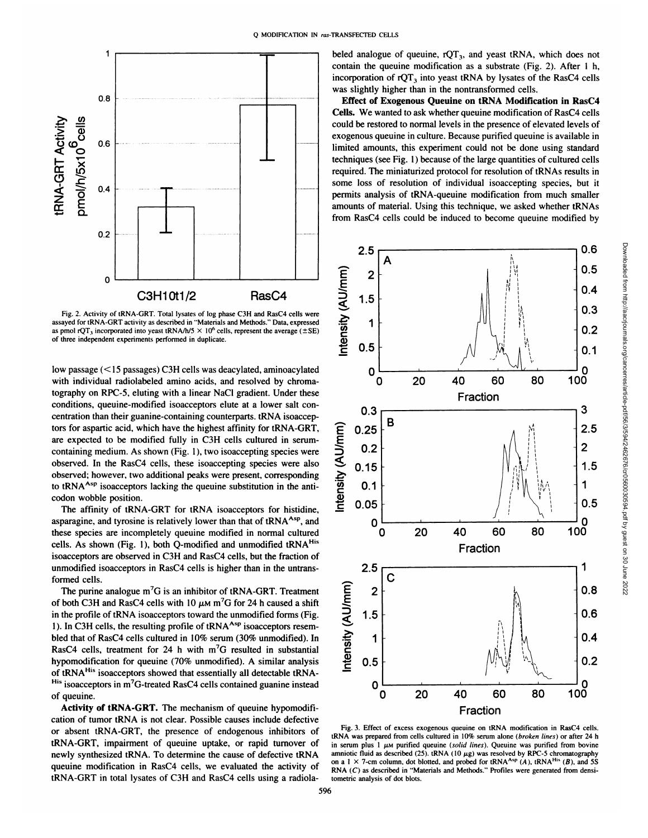

Fig. 2. Activity of tRNA-GRT. Total lysates of log phase C3H and RasC4 cells were assayed for tRNA-GRT activity as described in "Materials and Methods." Data, expressed as pmol rQT<sub>3</sub> incorporated into yeast tRNA/h/5  $\times$  10<sup>6</sup> cells, represent the average ( $\pm$ SE) of three independent experiments performed in duplicate.

low passage (< 15 passages) C3H cells was deacylated, aminoacylated with individual radiolabeled amino acids, and resolved by chroma tography on RPC-5, eluting with a linear NaCl gradient. Under these conditions, queuine-modified isoacceptors elute at a lower salt concentration than their guanine-containing counterparts. tRNA isoaccep tors for aspartic acid, which have the highest affinity for tRNA-GRT, are expected to be modified fully in C3H cells cultured in serumcontaining medium. As shown (Fig. 1), two isoaccepting species were observed. In the RasC4 cells, these isoaccepting species were also observed; however, two additional peaks were present, corresponding to tRNA $A^{s,p}$  isoacceptors lacking the queuine substitution in the anticodon wobble position.

The affinity of tRNA-GRT for tRNA isoacceptors for histidine, asparagine, and tyrosine is relatively lower than that of  $tRNA<sup>Asp</sup>$ , and these species are incompletely queuine modified in normal cultured cells. As shown (Fig. 1), both Q-modified and unmodified tRNA<sup>His</sup> isoacceptors are observed in C3H and RasC4 cells, but the fraction of unmodified isoacceptors in RasC4 cells is higher than in the untrans formed cells.

The purine analogue  $m<sup>7</sup>G$  is an inhibitor of tRNA-GRT. Treatment of both C3H and RasC4 cells with 10  $\mu$ M m<sup>7</sup>G for 24 h caused a shift in the profile of tRNA isoacceptors toward the unmodified forms (Fig. 1). In C3H cells, the resulting profile of tRNA<sup>Asp</sup> isoacceptors resembled that of RasC4 cells cultured in 10% serum (30% unmodified). In RasC4 cells, treatment for 24 h with  $m<sup>7</sup>G$  resulted in substantial of tRNA<sup>His</sup> isoacceptors showed that essentially all detectable tRNA-His isoacceptors in m7G-treated RasC4 cells contained guanine instead of queuine.

Activity of tRNA-GRT. The mechanism of queuine hypomodifi cation of tumor tRNA is not clear. Possible causes include defective or absent tRNA-GRT, the presence of endogenous inhibitors of tRNA-GRT, impairment of queuine uptake, or rapid turnover of newly synthesized tRNA. To determine the cause of defective tRNA queuine modification in RasC4 cells, we evaluated the activity of tRNA-GRT in total lysates of C3H and RasC4 cells using a radiola

beled analogue of queuine,  $rQT_3$ , and yeast tRNA, which does not contain the queuine modification as a substrate (Fig. 2). After 1 h, incorporation of  $rQT_3$  into yeast tRNA by lysates of the RasC4 cells was slightly higher than in the nontransformed cells.

Effect of Exogenous Queuine on tRNA Modification in RasC4 Cells. We wanted to ask whether queuine modification of RasC4 cells could be restored to normal levels in the presence of elevated levels of exogenous queuine in culture. Because purified queuine is available in limited amounts, this experiment could not be done using standard techniques (see Fig. 1) because of the large quantities of cultured cells required. The miniaturized protocol for resolution of tRNAs results in some loss of resolution of individual isoaccepting species, but it permits analysis of tRNA-queuine modification from much smaller amounts of material. Using this technique, we asked whether tRNAs from RasC4 cells could be induced to become queuine modified by



Fig. 3. Effect of excess exogenous queuine on tRNA modification in RasC4 cells. tRNA was prepared from cells cultured in 10% serum alone (broken lines) or after 24 h in serum plus 1  $\mu$ M purified queuine (solid lines). Queuine was purified from bovine amniotic fluid as described (25). tRNA (10  $\mu$ g) was resolved by RPC-5 chromatography on a 1  $\times$  7-cm column, dot blotted, and probed for tRNA<sup>Asp</sup> (A), tRNA<sup>His</sup> (B), and 5S RNA  $(C)$  as described in "Materials and Methods." Profiles were generated from densitometric analysis of dot blots.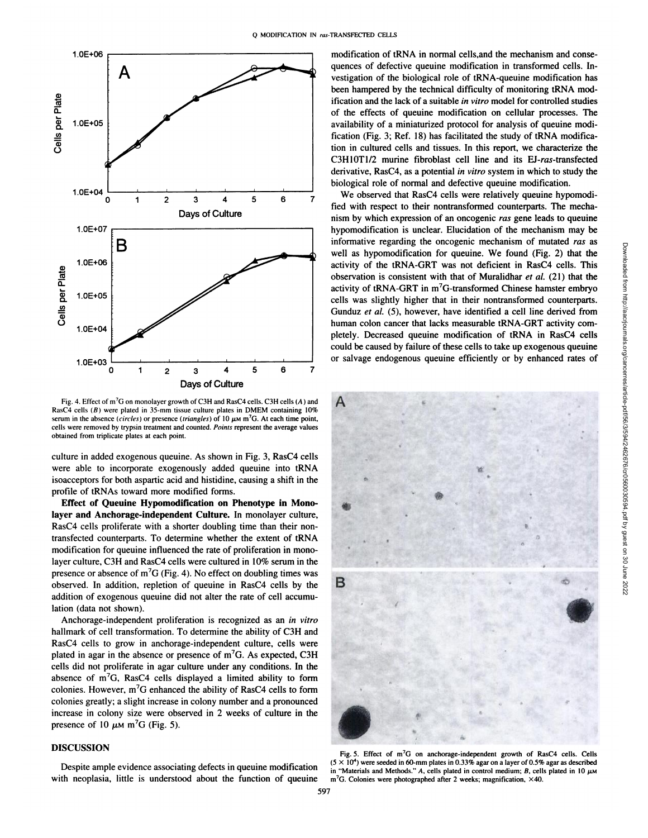

Fig. 4. Effect of m7G on monolayer growth of C3H and RasC4 cells. C3H cells (A) and RasC4 cells  $(B)$  were plated in 35-mm tissue culture plates in DMEM containing 10% serum in the absence (circles) or presence (triangles) of 10  $\mu$ M m<sup>7</sup>G. At each time point, cells were removed by trypsin treatment and counted. Points represent the average values obtained from triplicate plates at each point.

culture in added exogenous queuine. As shown in Fig. 3, RasC4 cells were able to incorporate exogenously added queuine into tRNA isoacceptors for both aspartic acid and histidine, causing a shift in the profile of tRNAs toward more modified forms.

**Effect of Queuine Hypomodification on Phenotype in Mono layer and Anchorage-independent Culture. In monolayer culture, •** RasC4 cells proliferate with a shorter doubling time than their nontransfected counterparts. To determine whether the extent of tRNA . modification for queuine influenced the rate of proliferation in mono layer culture, C3H and RasC4 cells were cultured in 10% serum in the presence or absence of  $m^7G$  (Fig. 4). No effect on doubling times was observed. In addition, repletion of queuine in RasC4 cells by the observed. In addition, repletion of queuine in RasC4 cells by the addition of exogenous queuine did not alter the rate of cell accumu lation (data not shown).

Anchorage-independent proliferation is recognized as an in vitro hallmark of cell transformation. To determine the ability of C3H and RasC4 cells to grow in anchorage-independent culture, cells were plated in agar in the absence or presence of  $m<sup>7</sup>G$ . As expected, C3H cells did not proliferate in agar culture under any conditions. In the absence of  $m<sup>7</sup>G$ , RasC4 cells displayed a limited ability to form colonies. However,  $m<sup>7</sup>G$  enhanced the ability of RasC4 cells to form colonies greatly; a slight increase in colony number and a pronounced increase in colony size were observed in 2 weeks of culture in the presence of 10  $\mu$ M m<sup>7</sup>G (Fig. 5).

#### **DISCUSSION**

with neoplasia, little is understood about the function of queuine

modification of tRNA in normal cells,and the mechanism and conse quences of defective queuine modification in transformed cells. In vestigation of the biological role of tRNA-queuine modification has been hampered by the technical difficulty of monitoring tRNA mod ification and the lack of a suitable in vitro model for controlled studies of the effects of queuine modification on cellular processes. The availability of a miniaturized protocol for analysis of queuine modi fication (Fig. 3; Ref. 18) has facilitated the study of tRNA modifica tion in cultured cells and tissues. In this report, we characterize the C3H1OT1/2 murine fibroblast cell line and its EJ-ras-transfected derivative, RasC4, as a potential in vitro system in which to study the biological role of normal and defective queuine modification.

We observed that RasC4 cells were relatively queuine hypomodified with respect to their nontransformed counterparts. The mechanism by which expression of an oncogenic ras gene leads to queuine hypomodification is unclear. Elucidation of the mechanism may be well as hypomodification for queuine. We found (Fig. 2) that the activity of the tRNA-GRT was not deficient in RasC4 cells. This observation is consistent with that of Muralidhar et al. (21) that the activity of tRNA-GRT in m<sup>7</sup>G-transformed Chinese hamster embryo cells was slightly higher that in their nontransformed counterparts. Gunduz et al. (5), however, have identified a cell line derived from human colon cancer that lacks measurable tRNA-GRT activity com pletely. Decreased queuine modification of tRNA in RasC4 cells could be caused by failure of these cells to take up exogenous queuine or salvage endogenous queuine efficiently or by enhanced rates of



Fig. 5. Effect of m<sup>7</sup>G on anchorage-independent growth of RasC4 cells. Cells Despite ample evidence associating defects in queuine modification  $(5 \times 10^4)$  were seeded in 60-mm plates in 0.33% agar on a layer of 0.5% agar as described<br>Waterials and Mathods "A calls plated in 0.011 and the control in "Materials and Methods." A, cells plated in control medium; B, cells plated in 10  $\mu$ M m<sup>7</sup>G. Colonies were photographed after 2 weeks; magnification, ×40.